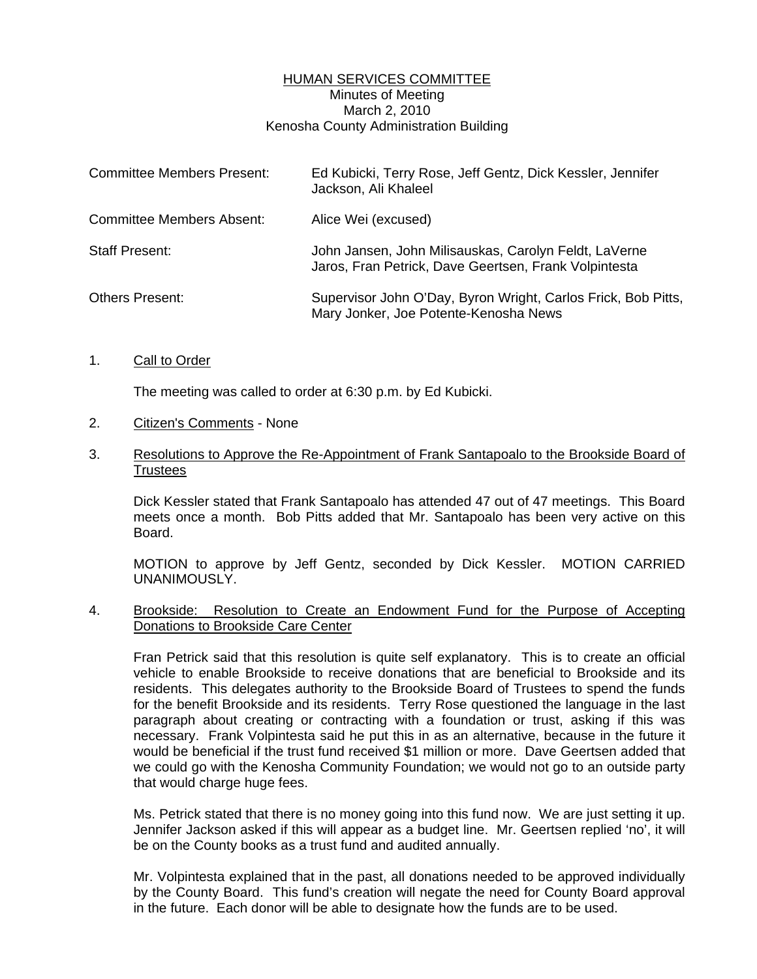# HUMAN SERVICES COMMITTEE Minutes of Meeting March 2, 2010 Kenosha County Administration Building

| <b>Committee Members Present:</b> | Ed Kubicki, Terry Rose, Jeff Gentz, Dick Kessler, Jennifer<br>Jackson, Ali Khaleel                             |
|-----------------------------------|----------------------------------------------------------------------------------------------------------------|
| <b>Committee Members Absent:</b>  | Alice Wei (excused)                                                                                            |
| <b>Staff Present:</b>             | John Jansen, John Milisauskas, Carolyn Feldt, LaVerne<br>Jaros, Fran Petrick, Dave Geertsen, Frank Volpintesta |
| <b>Others Present:</b>            | Supervisor John O'Day, Byron Wright, Carlos Frick, Bob Pitts,<br>Mary Jonker, Joe Potente-Kenosha News         |

## 1. Call to Order

The meeting was called to order at 6:30 p.m. by Ed Kubicki.

#### 2. Citizen's Comments - None

## 3. Resolutions to Approve the Re-Appointment of Frank Santapoalo to the Brookside Board of Trustees

 Dick Kessler stated that Frank Santapoalo has attended 47 out of 47 meetings. This Board meets once a month. Bob Pitts added that Mr. Santapoalo has been very active on this Board.

 MOTION to approve by Jeff Gentz, seconded by Dick Kessler. MOTION CARRIED UNANIMOUSLY.

## 4. Brookside: Resolution to Create an Endowment Fund for the Purpose of Accepting Donations to Brookside Care Center

 Fran Petrick said that this resolution is quite self explanatory. This is to create an official vehicle to enable Brookside to receive donations that are beneficial to Brookside and its residents. This delegates authority to the Brookside Board of Trustees to spend the funds for the benefit Brookside and its residents. Terry Rose questioned the language in the last paragraph about creating or contracting with a foundation or trust, asking if this was necessary. Frank Volpintesta said he put this in as an alternative, because in the future it would be beneficial if the trust fund received \$1 million or more. Dave Geertsen added that we could go with the Kenosha Community Foundation; we would not go to an outside party that would charge huge fees.

 Ms. Petrick stated that there is no money going into this fund now. We are just setting it up. Jennifer Jackson asked if this will appear as a budget line. Mr. Geertsen replied 'no', it will be on the County books as a trust fund and audited annually.

 Mr. Volpintesta explained that in the past, all donations needed to be approved individually by the County Board. This fund's creation will negate the need for County Board approval in the future. Each donor will be able to designate how the funds are to be used.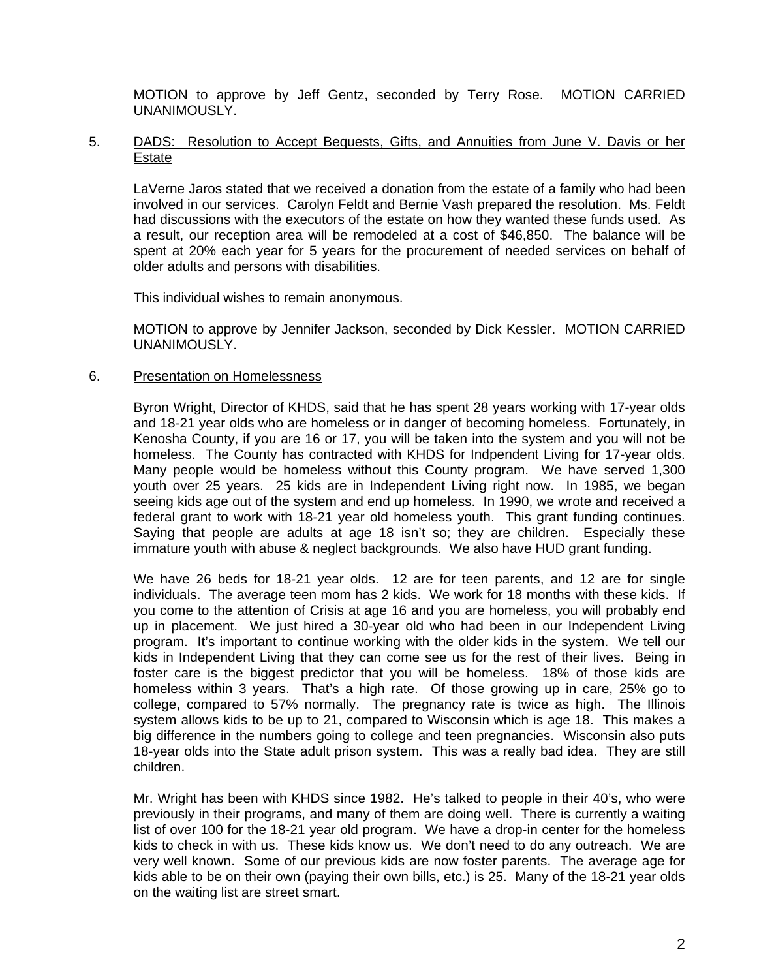MOTION to approve by Jeff Gentz, seconded by Terry Rose. MOTION CARRIED UNANIMOUSLY.

## 5. DADS: Resolution to Accept Bequests, Gifts, and Annuities from June V. Davis or her Estate

 LaVerne Jaros stated that we received a donation from the estate of a family who had been involved in our services. Carolyn Feldt and Bernie Vash prepared the resolution. Ms. Feldt had discussions with the executors of the estate on how they wanted these funds used. As a result, our reception area will be remodeled at a cost of \$46,850. The balance will be spent at 20% each year for 5 years for the procurement of needed services on behalf of older adults and persons with disabilities.

This individual wishes to remain anonymous.

 MOTION to approve by Jennifer Jackson, seconded by Dick Kessler. MOTION CARRIED UNANIMOUSLY.

## 6. Presentation on Homelessness

 Byron Wright, Director of KHDS, said that he has spent 28 years working with 17-year olds and 18-21 year olds who are homeless or in danger of becoming homeless. Fortunately, in Kenosha County, if you are 16 or 17, you will be taken into the system and you will not be homeless. The County has contracted with KHDS for Indpendent Living for 17-year olds. Many people would be homeless without this County program. We have served 1,300 youth over 25 years. 25 kids are in Independent Living right now. In 1985, we began seeing kids age out of the system and end up homeless. In 1990, we wrote and received a federal grant to work with 18-21 year old homeless youth. This grant funding continues. Saying that people are adults at age 18 isn't so; they are children. Especially these immature youth with abuse & neglect backgrounds. We also have HUD grant funding.

 We have 26 beds for 18-21 year olds. 12 are for teen parents, and 12 are for single individuals. The average teen mom has 2 kids. We work for 18 months with these kids. If you come to the attention of Crisis at age 16 and you are homeless, you will probably end up in placement. We just hired a 30-year old who had been in our Independent Living program. It's important to continue working with the older kids in the system. We tell our kids in Independent Living that they can come see us for the rest of their lives. Being in foster care is the biggest predictor that you will be homeless. 18% of those kids are homeless within 3 years. That's a high rate. Of those growing up in care, 25% go to college, compared to 57% normally. The pregnancy rate is twice as high. The Illinois system allows kids to be up to 21, compared to Wisconsin which is age 18. This makes a big difference in the numbers going to college and teen pregnancies. Wisconsin also puts 18-year olds into the State adult prison system. This was a really bad idea. They are still children.

 Mr. Wright has been with KHDS since 1982. He's talked to people in their 40's, who were previously in their programs, and many of them are doing well. There is currently a waiting list of over 100 for the 18-21 year old program. We have a drop-in center for the homeless kids to check in with us. These kids know us. We don't need to do any outreach. We are very well known. Some of our previous kids are now foster parents. The average age for kids able to be on their own (paying their own bills, etc.) is 25. Many of the 18-21 year olds on the waiting list are street smart.